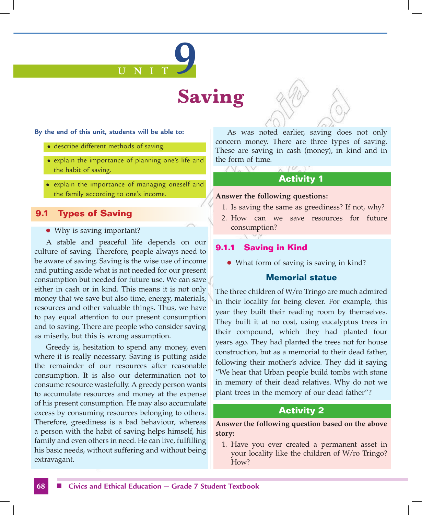# **U N I T 9**

# **Saving**

#### **By the end of this unit, students will be able to:**

- describe different methods of saving.
- explain the importance of planning one's life and the habit of saving.
- explain the importance of managing oneself and the family according to one's income.

# **9.1 Types of Saving**

#### • Why is saving important?

A stable and peaceful life depends on our culture of saving. Therefore, people always need to be aware of saving. Saving is the wise use of income and putting aside what is not needed for our present consumption but needed for future use. We can save either in cash or in kind. This means it is not only money that we save but also time, energy, materials, resources and other valuable things. Thus, we have to pay equal attention to our present consumption and to saving. There are people who consider saving as miserly, but this is wrong assumption.

Greedy is, hesitation to spend any money, even where it is really necessary. Saving is putting aside the remainder of our resources after reasonable consumption. It is also our determination not to consume resource wastefully. A greedy person wants to accumulate resources and money at the expense of his present consumption. He may also accumulate excess by consuming resources belonging to others. Therefore, greediness is a bad behaviour, whereas a person with the habit of saving helps himself, his family and even others in need. He can live, fulfilling his basic needs, without suffering and without being extravagant.

As was noted earlier, saving does not only concern money. There are three types of saving. These are saving in cash (money), in kind and in the form of time.

# **Activity 1**

#### **Answer the following questions:**

- 1. Is saving the same as greediness? If not, why?
- 2. How can we save resources for future consumption?

#### **9.1.1 Saving in Kind**

• What form of saving is saving in kind?

#### **Memorial statue**

The three children of W/ro Tringo are much admired in their locality for being clever. For example, this year they built their reading room by themselves. They built it at no cost, using eucalyptus trees in their compound, which they had planted four years ago. They had planted the trees not for house construction, but as a memorial to their dead father, following their mother's advice. They did it saying "We hear that Urban people build tombs with stone in memory of their dead relatives. Why do not we plant trees in the memory of our dead father"?

#### **Activity 2**

#### **Answer the following question based on the above story:**

1. Have you ever created a permanent asset in your locality like the children of W/ro Tringo? How?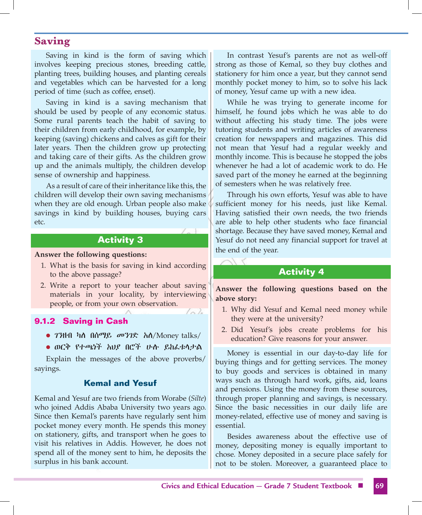Saving in kind is the form of saving which involves keeping precious stones, breeding cattle, planting trees, building houses, and planting cereals and vegetables which can be harvested for a long period of time (such as coffee, enset).

Saving in kind is a saving mechanism that should be used by people of any economic status. Some rural parents teach the habit of saving to their children from early childhood, for example, by keeping (saving) chickens and calves as gift for their later years. Then the children grow up protecting and taking care of their gifts. As the children grow up and the animals multiply, the children develop sense of ownership and happiness.

As a result of care of their inheritance like this, the children will develop their own saving mechanisms when they are old enough. Urban people also make savings in kind by building houses, buying cars etc.

#### **Activity 3**

#### **Answer the following questions:**

- 1. What is the basis for saving in kind according to the above passage?
- 2. Write a report to your teacher about saving materials in your locality, by interviewing people, or from your own observation.

 $\sqrt{2}$ 

#### **9.1.2 Saving in Cash**

- l ገንዘብ ካለ በሰማይ መንገድ አለ/Money talks/
- l ወርቅ የተጫነች አህያ በሮች ሁሉ ይከፈቱላታል

Explain the messages of the above proverbs/ sayings.

#### **Kemal and Yesuf**

Kemal and Yesuf are two friends from Worabe (*Silte*) who joined Addis Ababa University two years ago. Since then Kemal's parents have regularly sent him pocket money every month. He spends this money on stationery, gifts, and transport when he goes to visit his relatives in Addis. However, he does not spend all of the money sent to him, he deposits the surplus in his bank account.

In contrast Yesuf's parents are not as well-off strong as those of Kemal, so they buy clothes and stationery for him once a year, but they cannot send monthly pocket money to him, so to solve his lack of money, Yesuf came up with a new idea.

While he was trying to generate income for himself, he found jobs which he was able to do without affecting his study time. The jobs were tutoring students and writing articles of awareness creation for newspapers and magazines. This did not mean that Yesuf had a regular weekly and monthly income. This is because he stopped the jobs whenever he had a lot of academic work to do. He saved part of the money he earned at the beginning of semesters when he was relatively free.

Through his own efforts, Yesuf was able to have sufficient money for his needs, just like Kemal. Having satisfied their own needs, the two friends are able to help other students who face financial shortage. Because they have saved money, Kemal and Yesuf do not need any financial support for travel at the end of the year.

#### **Activity 4**

**Answer the following questions based on the above story:**

- 1. Why did Yesuf and Kemal need money while they were at the university?
- 2. Did Yesuf's jobs create problems for his education? Give reasons for your answer.

Money is essential in our day-to-day life for buying things and for getting services. The money to buy goods and services is obtained in many ways such as through hard work, gifts, aid, loans and pensions. Using the money from these sources, through proper planning and savings, is necessary. Since the basic necessities in our daily life are money-related, effective use of money and saving is essential.

Besides awareness about the effective use of money, depositing money is equally important to chose. Money deposited in a secure place safely for not to be stolen. Moreover, a guaranteed place to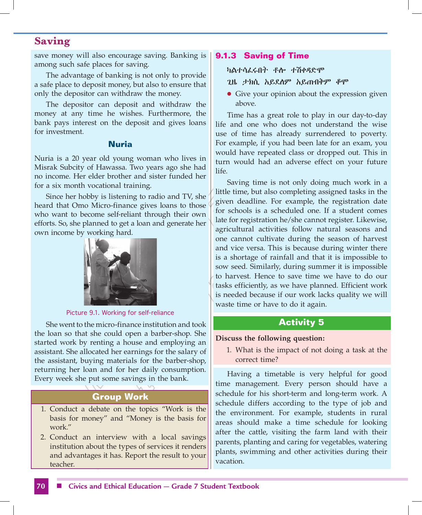save money will also encourage saving. Banking is among such safe places for saving.

The advantage of banking is not only to provide a safe place to deposit money, but also to ensure that only the depositor can withdraw the money.

The depositor can deposit and withdraw the money at any time he wishes. Furthermore, the bank pays interest on the deposit and gives loans for investment.

#### **Nuria**

Nuria is a 20 year old young woman who lives in Misrak Subcity of Hawassa. Two years ago she had no income. Her elder brother and sister funded her for a six month vocational training.

Since her hobby is listening to radio and TV, she heard that Omo Micro-finance gives loans to those who want to become self-reliant through their own efforts. So, she planned to get a loan and generate her own income by working hard.



Picture 9.1. Working for self-reliance

She went to the micro-finance institution and took the loan so that she could open a barber-shop. She started work by renting a house and employing an assistant. She allocated her earnings for the salary of the assistant, buying materials for the barber-shop, returning her loan and for her daily consumption. Every week she put some savings in the bank.

#### **Group Work**

- 1. Conduct a debate on the topics "Work is the basis for money" and "Money is the basis for work."
- 2. Conduct an interview with a local savings institution about the types of services it renders and advantages it has. Report the result to your teacher.

#### **9.1.3 Saving of Time**

#### ካልተሳፈሩበት ቶሎ ተሽቀዳድሞ

- ጊዜ ታክሲ አይደለም አይጠብቅም ቆሞ
- Give your opinion about the expression given above.

Time has a great role to play in our day-to-day life and one who does not understand the wise use of time has already surrendered to poverty. For example, if you had been late for an exam, you would have repeated class or dropped out. This in turn would had an adverse effect on your future life.

Saving time is not only doing much work in a little time, but also completing assigned tasks in the given deadline. For example, the registration date for schools is a scheduled one. If a student comes late for registration he/she cannot register. Likewise, agricultural activities follow natural seasons and one cannot cultivate during the season of harvest and vice versa. This is because during winter there is a shortage of rainfall and that it is impossible to sow seed. Similarly, during summer it is impossible to harvest. Hence to save time we have to do our tasks efficiently, as we have planned. Efficient work is needed because if our work lacks quality we will waste time or have to do it again.

#### **Activity 5**

#### **Discuss the following question:**

1. What is the impact of not doing a task at the correct time?

Having a timetable is very helpful for good time management. Every person should have a schedule for his short-term and long-term work. A schedule differs according to the type of job and the environment. For example, students in rural areas should make a time schedule for looking after the cattle, visiting the farm land with their parents, planting and caring for vegetables, watering plants, swimming and other activities during their vacation.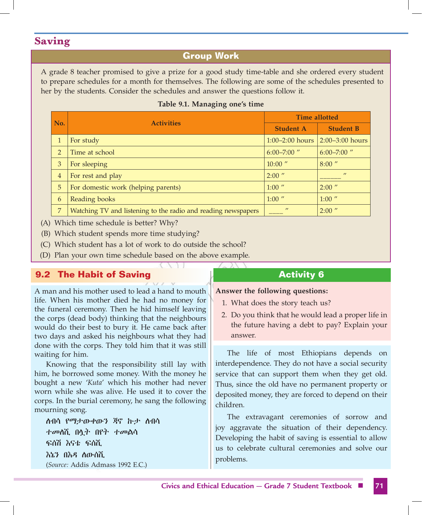# **Group Work**

A grade 8 teacher promised to give a prize for a good study time-table and she ordered every student to prepare schedules for a month for themselves. The following are some of the schedules presented to her by the students. Consider the schedules and answer the questions follow it.

|  |  | Table 9.1. Managing one's time |  |  |
|--|--|--------------------------------|--|--|
|--|--|--------------------------------|--|--|

| No.            |                                                               | <b>Time allotted</b> |                     |
|----------------|---------------------------------------------------------------|----------------------|---------------------|
|                | <b>Activities</b>                                             | <b>Student A</b>     | <b>Student B</b>    |
|                | For study                                                     | $1:00 - 2:00$ hours  | $2:00 - 3:00$ hours |
| $\overline{2}$ | Time at school                                                | $6:00 - 7:00$ "      | $6:00 - 7:00$ "     |
| 3              | For sleeping                                                  | $10:00$ "            | $8:00$ "            |
| $\overline{4}$ | For rest and play                                             | $2:00$ "             | $\prime$            |
| 5              | For domestic work (helping parents)                           | $1:00$ "             | $2:00$ "            |
| 6              | Reading books                                                 | $1:00$ "             | $1:00$ "            |
| 7              | Watching TV and listening to the radio and reading newspapers | $\prime$             | $2:00$ "            |

(A) Which time schedule is better? Why?

(B) Which student spends more time studying?

(C) Which student has a lot of work to do outside the school?

(D) Plan your own time schedule based on the above example.

# **9.2 The Habit of Saving**

A man and his mother used to lead a hand to mouth life. When his mother died he had no money for the funeral ceremony. Then he hid himself leaving the corps (dead body) thinking that the neighbours would do their best to bury it. He came back after two days and asked his neighbours what they had done with the corps. They told him that it was still waiting for him.

Knowing that the responsibility still lay with him, he borrowed some money. With the money he bought a new '*Kuta*' which his mother had never worn while she was alive. He used it to cover the corps. In the burial ceremony, he sang the following mourning song.

 ለብሳ የማታውቀውን ጃኖ ኩታ ለብሳ ተመለሺ በሏት በየት ተመልሳ ፍሰሽ እናቴ ፍሰሺ እኔን በእዳ ለውሰሺ (*Source:* Addis Admass 1992 E.C.)

# **Activity 6**

**Answer the following questions:**

- 1. What does the story teach us?
- 2. Do you think that he would lead a proper life in the future having a debt to pay? Explain your answer.

The life of most Ethiopians depends on interdependence. They do not have a social security service that can support them when they get old. Thus, since the old have no permanent property or deposited money, they are forced to depend on their children.

The extravagant ceremonies of sorrow and joy aggravate the situation of their dependency. Developing the habit of saving is essential to allow us to celebrate cultural ceremonies and solve our problems.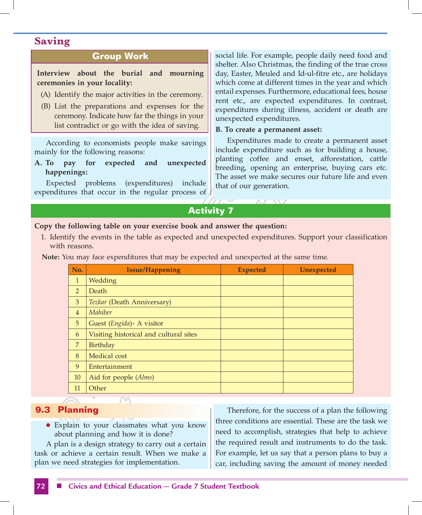# **Group Work**

**Interview about the burial and mourning ceremonies in your locality:**

- (A) Identify the major activities in the ceremony.
- (B) List the preparations and expenses for the ceremony. Indicate how far the things in your list contradict or go with the idea of saving.

According to economists people make savings mainly for the following reasons:

**A. To pay for expected and unexpected happenings:**

Expected problems (expenditures) include expenditures that occur in the regular process of social life. For example, people daily need food and shelter. Also Christmas, the finding of the true cross day, Easter, Meuled and Id-ul-fitre etc., are holidays which come at different times in the year and which entail expenses. Furthermore, educational fees, house rent etc., are expected expenditures. In contrast, expenditures during illness, accident or death are unexpected expenditures.

#### **B. To create a permanent asset:**

Expenditures made to create a permanent asset include expenditure such as for building a house, planting coffee and enset, afforestation, cattle breeding, opening an enterprise, buying cars etc. The asset we make secures our future life and even that of our generation.

# **Activity 7**

#### **Copy the following table on your exercise book and answer the question:**

1. Identify the events in the table as expected and unexpected expenditures. Support your classification with reasons.

**Note:** You may face expenditures that may be expected and unexpected at the same time.

| <b>Issue/Happening</b>                 | <b>Expected</b> | <b>Unexpected</b> |
|----------------------------------------|-----------------|-------------------|
| Wedding                                |                 |                   |
| Death                                  |                 |                   |
| Tezkar (Death Anniversary)             |                 |                   |
| Mahiber                                |                 |                   |
| Guest (Engida) - A visitor             |                 |                   |
| Visiting historical and cultural sites |                 |                   |
| Birthday                               |                 |                   |
| Medical cost                           |                 |                   |
| Entertainment                          |                 |                   |
| Aid for people (Alms)                  |                 |                   |
| Other                                  |                 |                   |
|                                        |                 |                   |

#### **9.3 Planning**

• Explain to your classmates what you know about planning and how it is done?

A plan is a design strategy to carry out a certain task or achieve a certain result. When we make a plan we need strategies for implementation.

Therefore, for the success of a plan the following three conditions are essential. These are the task we need to accomplish, strategies that help to achieve the required result and instruments to do the task. For example, let us say that a person plans to buy a car, including saving the amount of money needed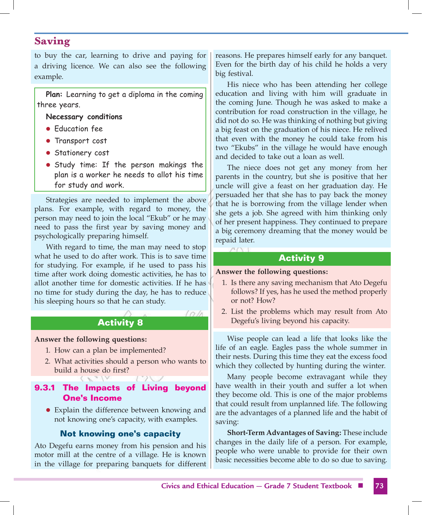to buy the car, learning to drive and paying for a driving licence. We can also see the following example.

**Plan:** Learning to get a diploma in the coming three years.

#### **Necessary conditions**

- **Education fee**
- **Transport cost**
- **Stationery cost**
- **•** Study time: If the person makings the plan is a worker he needs to allot his time for study and work.

Strategies are needed to implement the above plans. For example, with regard to money, the person may need to join the local "Ekub" or he may need to pass the first year by saving money and psychologically preparing himself.

With regard to time, the man may need to stop what he used to do after work. This is to save time for studying. For example, if he used to pass his time after work doing domestic activities, he has to allot another time for domestic activities. If he has no time for study during the day, he has to reduce his sleeping hours so that he can study.

# **Activity 8**

l o In

#### **Answer the following questions:**

- 1. How can a plan be implemented?
- 2. What activities should a person who wants to build a house do first?

# **9.3.1 The Impacts of Living beyond One's Income**

• Explain the difference between knowing and not knowing one's capacity, with examples.

# **Not knowing one's capacity**

Ato Degefu earns money from his pension and his motor mill at the centre of a village. He is known in the village for preparing banquets for different reasons. He prepares himself early for any banquet. Even for the birth day of his child he holds a very big festival.

His niece who has been attending her college education and living with him will graduate in the coming June. Though he was asked to make a contribution for road construction in the village, he did not do so. He was thinking of nothing but giving a big feast on the graduation of his niece. He relived that even with the money he could take from his two "Ekubs" in the village he would have enough and decided to take out a loan as well.

The niece does not get any money from her parents in the country, but she is positive that her uncle will give a feast on her graduation day. He persuaded her that she has to pay back the money that he is borrowing from the village lender when she gets a job. She agreed with him thinking only of her present happiness. They continued to prepare a big ceremony dreaming that the money would be repaid later.

# **Activity 9**

#### **Answer the following questions:**

- 1. Is there any saving mechanism that Ato Degefu follows? If yes, has he used the method properly or not? How?
- 2. List the problems which may result from Ato Degefu's living beyond his capacity.

Wise people can lead a life that looks like the life of an eagle. Eagles pass the whole summer in their nests. During this time they eat the excess food which they collected by hunting during the winter.

Many people become extravagant while they have wealth in their youth and suffer a lot when they become old. This is one of the major problems that could result from unplanned life. The following are the advantages of a planned life and the habit of saving:

**Short-Term Advantages of Saving:** These include changes in the daily life of a person. For example, people who were unable to provide for their own basic necessities become able to do so due to saving.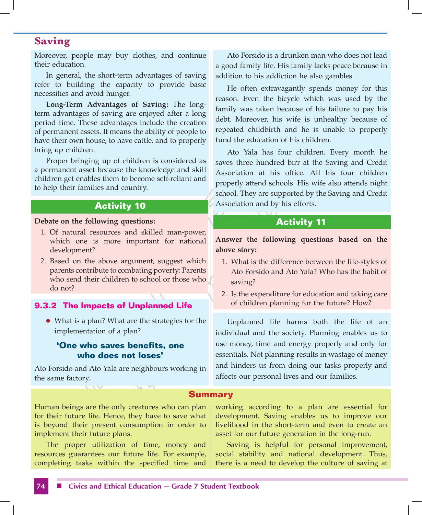Moreover, people may buy clothes, and continue their education.

In general, the short-term advantages of saving refer to building the capacity to provide basic necessities and avoid hunger.

**Long-Term Advantages of Saving:** The longterm advantages of saving are enjoyed after a long period time. These advantages include the creation of permanent assets. It means the ability of people to have their own house, to have cattle, and to properly bring up children.

Proper bringing up of children is considered as a permanent asset because the knowledge and skill children get enables them to become self-reliant and to help their families and country.

#### **Activity 10**

#### **Debate on the following questions:**

- 1. Of natural resources and skilled man-power, which one is more important for national development?
- 2. Based on the above argument, suggest which parents contribute to combating poverty: Parents who send their children to school or those who do not?

#### **9.3.2 The Impacts of Unplanned Life**

• What is a plan? What are the strategies for the implementation of a plan?

#### **'One who saves benefits, one who does not loses'**

Ato Forsido and Ato Yala are neighbours working in the same factory.

Ato Forsido is a drunken man who does not lead a good family life. His family lacks peace because in addition to his addiction he also gambles.

He often extravagantly spends money for this reason. Even the bicycle which was used by the family was taken because of his failure to pay his debt. Moreover, his wife is unhealthy because of repeated childbirth and he is unable to properly fund the education of his children.

Ato Yala has four children. Every month he saves three hundred birr at the Saving and Credit Association at his office. All his four children properly attend schools. His wife also attends night school. They are supported by the Saving and Credit Association and by his efforts.

#### **Activity 11**

#### **Answer the following questions based on the above story:**

- 1. What is the difference between the life-styles of Ato Forsido and Ato Yala? Who has the habit of saving?
- 2. Is the expenditure for education and taking care of children planning for the future? How?

Unplanned life harms both the life of an individual and the society. Planning enables us to use money, time and energy properly and only for essentials. Not planning results in wastage of money and hinders us from doing our tasks properly and affects our personal lives and our families.

#### **Summary**

Human beings are the only creatures who can plan for their future life. Hence, they have to save what is beyond their present consumption in order to implement their future plans.

The proper utilization of time, money and resources guarantees our future life. For example, completing tasks within the specified time and working according to a plan are essential for development. Saving enables us to improve our livelihood in the short-term and even to create an asset for our future generation in the long-run.

Saving is helpful for personal improvement, social stability and national development. Thus, there is a need to develop the culture of saving at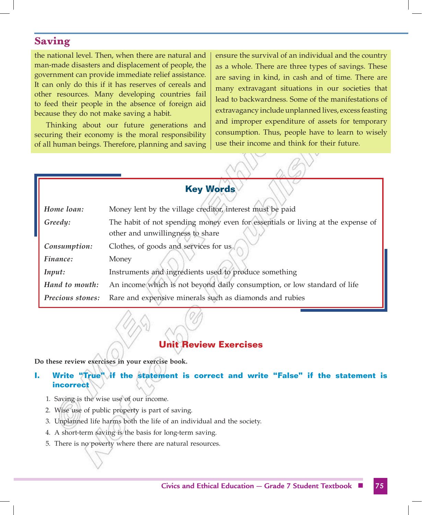the national level. Then, when there are natural and man-made disasters and displacement of people, the government can provide immediate relief assistance. It can only do this if it has reserves of cereals and other resources. Many developing countries fail to feed their people in the absence of foreign aid because they do not make saving a habit.

Thinking about our future generations and securing their economy is the moral responsibility of all human beings. Therefore, planning and saving ensure the survival of an individual and the country as a whole. There are three types of savings. These are saving in kind, in cash and of time. There are many extravagant situations in our societies that lead to backwardness. Some of the manifestations of extravagancy include unplanned lives, excess feasting and improper expenditure of assets for temporary consumption. Thus, people have to learn to wisely use their income and think for their future.

 $\bigvee$  and the set of  $\mathscr{A}$ 

| <b>Key Words</b> |                                                                                 |  |  |
|------------------|---------------------------------------------------------------------------------|--|--|
| Home loan:       | Money lent by the village creditor, interest must be paid                       |  |  |
| Greedy:          | The habit of not spending money even for essentials or living at the expense of |  |  |
|                  | other and unwillingness to share                                                |  |  |
| Consumption:     | Clothes, of goods and services for us                                           |  |  |
| Finance:         | Money                                                                           |  |  |
| Input:           | Instruments and ingredients used to produce something                           |  |  |
| Hand to mouth:   | An income which is not beyond daily consumption, or low standard of life        |  |  |
| Precious stones: | Rare and expensive minerals such as diamonds and rubies                         |  |  |

# **Unit Review Exercises**

**Do these review exercises in your exercise book.**

# **I. Write "True" if the statement is correct and write "False" if the statement is incorrect**

- 1. Saving is the wise use of our income.
- 2. Wise use of public property is part of saving.
- 3. Unplanned life harms both the life of an individual and the society.
- 4. A short-term saving is the basis for long-term saving.
- 5. There is no poverty where there are natural resources.